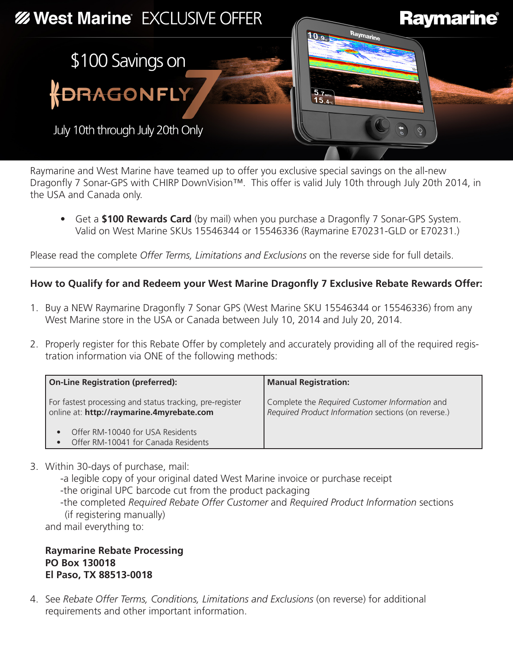

Raymarine and West Marine have teamed up to offer you exclusive special savings on the all-new Dragonfly 7 Sonar-GPS with CHIRP DownVision™. This offer is valid July 10th through July 20th 2014, in the USA and Canada only.

• Get a **\$100 Rewards Card** (by mail) when you purchase a Dragonfly 7 Sonar-GPS System. Valid on West Marine SKUs 15546344 or 15546336 (Raymarine E70231-GLD or E70231.)

Please read the complete *Offer Terms, Limitations and Exclusions* on the reverse side for full details.

## **How to Qualify for and Redeem your West Marine Dragonfly 7 Exclusive Rebate Rewards Offer:**

- 1. Buy a NEW Raymarine Dragonfly 7 Sonar GPS (West Marine SKU 15546344 or 15546336) from any West Marine store in the USA or Canada between July 10, 2014 and July 20, 2014.
- 2. Properly register for this Rebate Offer by completely and accurately providing all of the required registration information via ONE of the following methods:

| <b>On-Line Registration (preferred):</b>                                                              | <b>Manual Registration:</b>                                                                           |
|-------------------------------------------------------------------------------------------------------|-------------------------------------------------------------------------------------------------------|
| For fastest processing and status tracking, pre-register<br>online at: http://raymarine.4myrebate.com | Complete the Required Customer Information and<br>Required Product Information sections (on reverse.) |
| Offer RM-10040 for USA Residents<br>Offer RM-10041 for Canada Residents                               |                                                                                                       |

3. Within 30-days of purchase, mail:

-a legible copy of your original dated West Marine invoice or purchase receipt -the original UPC barcode cut from the product packaging -the completed *Required Rebate Offer Customer* and *Required Product Information* sections

(if registering manually)

and mail everything to:

**Raymarine Rebate Processing PO Box 130018 El Paso, TX 88513-0018**

4. See *Rebate Offer Terms, Conditions, Limitations and Exclusions* (on reverse) for additional requirements and other important information.